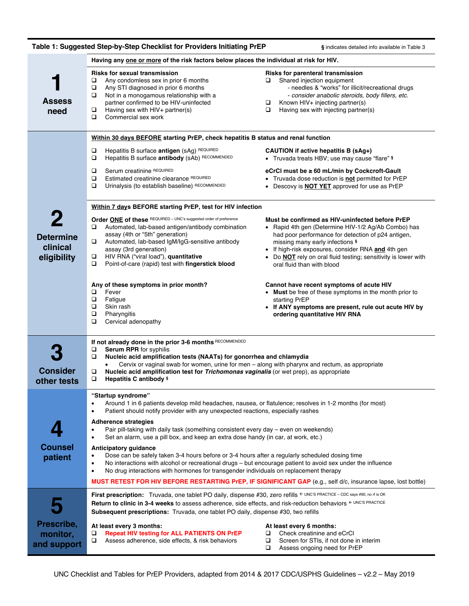|                                                                                         | Table 1: Suggested Step-by-Step Checklist for Providers Initiating PrEP                                                                                                                                                                                                                                                                                                                                                                                                                                                                                                                                                                                                                                                         | § indicates detailed info available in Table 3                                                                                                                                                                                                                                                                                                               |  |  |  |  |  |
|-----------------------------------------------------------------------------------------|---------------------------------------------------------------------------------------------------------------------------------------------------------------------------------------------------------------------------------------------------------------------------------------------------------------------------------------------------------------------------------------------------------------------------------------------------------------------------------------------------------------------------------------------------------------------------------------------------------------------------------------------------------------------------------------------------------------------------------|--------------------------------------------------------------------------------------------------------------------------------------------------------------------------------------------------------------------------------------------------------------------------------------------------------------------------------------------------------------|--|--|--|--|--|
| Having any one or more of the risk factors below places the individual at risk for HIV. |                                                                                                                                                                                                                                                                                                                                                                                                                                                                                                                                                                                                                                                                                                                                 |                                                                                                                                                                                                                                                                                                                                                              |  |  |  |  |  |
| <b>Assess</b><br>need                                                                   | <b>Risks for sexual transmission</b><br>□<br>Any condomless sex in prior 6 months<br>Any STI diagnosed in prior 6 months<br>□<br>Not in a monogamous relationship with a<br>$\Box$<br>partner confirmed to be HIV-uninfected<br>□<br>Having sex with HIV+ partner(s)<br>$\Box$<br>Commercial sex work                                                                                                                                                                                                                                                                                                                                                                                                                           | Risks for parenteral transmission<br>Shared injection equipment<br>□<br>- needles & "works" for illicit/recreational drugs<br>- consider anabolic steroids, body fillers, etc.<br>$\Box$<br>Known HIV+ injecting partner(s)<br>$\Box$<br>Having sex with injecting partner(s)                                                                                |  |  |  |  |  |
|                                                                                         | Within 30 days BEFORE starting PrEP, check hepatitis B status and renal function                                                                                                                                                                                                                                                                                                                                                                                                                                                                                                                                                                                                                                                |                                                                                                                                                                                                                                                                                                                                                              |  |  |  |  |  |
|                                                                                         | Hepatitis B surface antigen (sAg) REQUIRED<br>□<br>$\Box$<br>Hepatitis B surface antibody (sAb) RECOMMENDED                                                                                                                                                                                                                                                                                                                                                                                                                                                                                                                                                                                                                     | CAUTION if active hepatitis B (sAg+)<br>• Truvada treats HBV; use may cause "flare" §                                                                                                                                                                                                                                                                        |  |  |  |  |  |
|                                                                                         | Serum creatinine REQUIRED<br>$\Box$<br>$\Box$<br>Estimated creatinine clearance REQUIRED<br>$\Box$<br>Urinalysis (to establish baseline) RECOMMENDED                                                                                                                                                                                                                                                                                                                                                                                                                                                                                                                                                                            | eCrCl must be ≥ 60 mL/min by Cockcroft-Gault<br>• Truvada dose reduction is not permitted for PrEP<br>Descovy is <b>NOT YET</b> approved for use as PrEP                                                                                                                                                                                                     |  |  |  |  |  |
|                                                                                         | Within 7 days BEFORE starting PrEP, test for HIV infection                                                                                                                                                                                                                                                                                                                                                                                                                                                                                                                                                                                                                                                                      |                                                                                                                                                                                                                                                                                                                                                              |  |  |  |  |  |
| 2<br><b>Determine</b><br>clinical<br>eligibility                                        | Order ONE of these REQUIRED - UNC's suggested order of preference<br>Automated, lab-based antigen/antibody combination<br>□<br>assay (4th or "5th" generation)<br>Automated, lab-based IgM/IgG-sensitive antibody<br>$\Box$<br>assay (3rd generation)<br>HIV RNA ("viral load"), quantitative<br>$\Box$<br>□<br>Point-of-care (rapid) test with fingerstick blood                                                                                                                                                                                                                                                                                                                                                               | Must be confirmed as HIV-uninfected before PrEP<br>• Rapid 4th gen (Determine HIV-1/2 Ag/Ab Combo) has<br>had poor performance for detection of p24 antigen,<br>missing many early infections §<br>• If high-risk exposures, consider RNA and 4th gen<br>• Do <b>NOT</b> rely on oral fluid testing; sensitivity is lower with<br>oral fluid than with blood |  |  |  |  |  |
|                                                                                         | Any of these symptoms in prior month?<br>Fever<br>$\Box$<br>$\Box$<br>Fatigue<br>$\Box$<br>Skin rash<br>$\Box$<br>Pharyngitis<br>$\Box$<br>Cervical adenopathy                                                                                                                                                                                                                                                                                                                                                                                                                                                                                                                                                                  | Cannot have recent symptoms of acute HIV<br>• Must be free of these symptoms in the month prior to<br>starting PrEP<br>• If ANY symptoms are present, rule out acute HIV by<br>ordering quantitative HIV RNA                                                                                                                                                 |  |  |  |  |  |
| <b>Consider</b><br>other tests                                                          | If not already done in the prior 3-6 months RECOMMENDED<br>Serum RPR for syphilis<br>□<br>□<br>Nucleic acid amplification tests (NAATs) for gonorrhea and chlamydia<br>Cervix or vaginal swab for women, urine for men - along with pharynx and rectum, as appropriate<br>Nucleic acid amplification test for Trichomonas vaginalis (or wet prep), as appropriate<br>❏<br>$\Box$<br>Hepatitis C antibody §                                                                                                                                                                                                                                                                                                                      |                                                                                                                                                                                                                                                                                                                                                              |  |  |  |  |  |
|                                                                                         | "Startup syndrome"<br>Around 1 in 6 patients develop mild headaches, nausea, or flatulence; resolves in 1-2 months (for most)<br>Patient should notify provider with any unexpected reactions, especially rashes<br>$\bullet$                                                                                                                                                                                                                                                                                                                                                                                                                                                                                                   |                                                                                                                                                                                                                                                                                                                                                              |  |  |  |  |  |
|                                                                                         | <b>Adherence strategies</b><br>Pair pill-taking with daily task (something consistent every day – even on weekends)<br>$\bullet$<br>Set an alarm, use a pill box, and keep an extra dose handy (in car, at work, etc.)<br>$\bullet$<br><b>Anticipatory guidance</b><br>Dose can be safely taken 3-4 hours before or 3-4 hours after a regularly scheduled dosing time<br>$\bullet$<br>No interactions with alcohol or recreational drugs – but encourage patient to avoid sex under the influence<br>No drug interactions with hormones for transgender individuals on replacement therapy<br>$\bullet$<br><b>MUST RETEST FOR HIV BEFORE RESTARTING PrEP, IF SIGNIFICANT GAP</b> (e.g., self d/c, insurance lapse, lost bottle) |                                                                                                                                                                                                                                                                                                                                                              |  |  |  |  |  |
| <b>Counsel</b><br>patient                                                               |                                                                                                                                                                                                                                                                                                                                                                                                                                                                                                                                                                                                                                                                                                                                 |                                                                                                                                                                                                                                                                                                                                                              |  |  |  |  |  |
|                                                                                         | First prescription: Truvada, one tablet PO daily, dispense #30, zero refills < UNC'S PRACTICE - CDC says #90, no rf is OK<br>Return to clinic in 3-4 weeks to assess adherence, side effects, and risk-reduction behaviors $\epsilon$ UNC'S PRACTICE<br><b>Subsequent prescriptions:</b> Truvada, one tablet PO daily, dispense #30, two refills                                                                                                                                                                                                                                                                                                                                                                                |                                                                                                                                                                                                                                                                                                                                                              |  |  |  |  |  |
| Prescribe,<br>monitor,<br>and support                                                   | At least every 3 months:<br><b>Repeat HIV testing for ALL PATIENTS ON PrEP</b><br>□<br>$\Box$<br>Assess adherence, side effects, & risk behaviors                                                                                                                                                                                                                                                                                                                                                                                                                                                                                                                                                                               | At least every 6 months:<br>Check creatinine and eCrCl<br>□<br>$\Box$<br>Screen for STIs, if not done in interim<br>$\Box$<br>Assess ongoing need for PrEP                                                                                                                                                                                                   |  |  |  |  |  |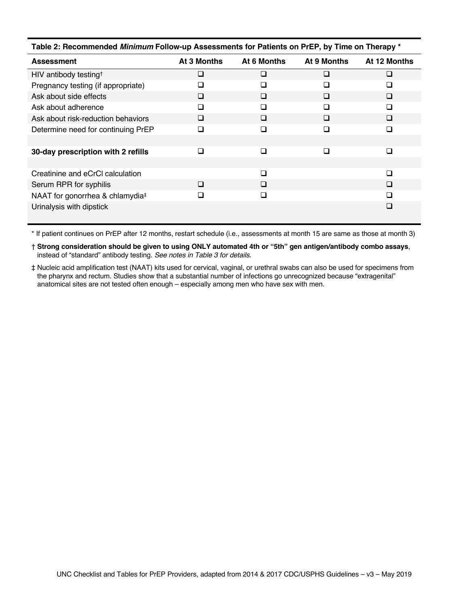| Table 2: Recommended Minimum Follow-up Assessments for Patients on PrEP, by Time on Therapy * |             |             |             |              |  |  |  |
|-----------------------------------------------------------------------------------------------|-------------|-------------|-------------|--------------|--|--|--|
| <b>Assessment</b>                                                                             | At 3 Months | At 6 Months | At 9 Months | At 12 Months |  |  |  |
| HIV antibody testing <sup>+</sup>                                                             | $\sqcup$    | $\Box$      | □           | ⊔            |  |  |  |
| Pregnancy testing (if appropriate)                                                            | $\Box$      | ❏           | □           | ❏            |  |  |  |
| Ask about side effects                                                                        | □           | □           | □           | □            |  |  |  |
| Ask about adherence                                                                           |             | П           | □           | ◻            |  |  |  |
| Ask about risk-reduction behaviors                                                            | ❏           | □           | □           | □            |  |  |  |
| Determine need for continuing PrEP                                                            | ш           | □           | □           | □            |  |  |  |
|                                                                                               |             |             |             |              |  |  |  |
| 30-day prescription with 2 refills                                                            |             | □           | □           | □            |  |  |  |
|                                                                                               |             |             |             |              |  |  |  |
| Creatinine and eCrCl calculation                                                              |             | $\Box$      |             | $\Box$       |  |  |  |
| Serum RPR for syphilis                                                                        | $\Box$      | □           |             | □            |  |  |  |
| NAAT for gonorrhea & chlamydia <sup>‡</sup>                                                   |             | □           |             | □            |  |  |  |
| Urinalysis with dipstick                                                                      |             |             |             | □            |  |  |  |

\* If patient continues on PrEP after 12 months, restart schedule (i.e., assessments at month 15 are same as those at month 3)

† **Strong consideration should be given to using ONLY automated 4th or "5th" gen antigen/antibody combo assays**, instead of "standard" antibody testing. *See notes in Table 3 for details*.

‡ Nucleic acid amplification test (NAAT) kits used for cervical, vaginal, or urethral swabs can also be used for specimens from the pharynx and rectum. Studies show that a substantial number of infections go unrecognized because "extragenital" anatomical sites are not tested often enough – especially among men who have sex with men.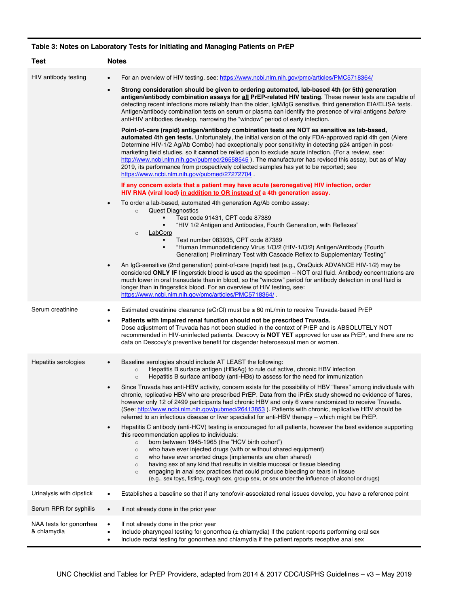## HIV antibody testing • For an overview of HIV testing, see: https://www.ncbi.nlm.nih.gov/pmc/articles/PMC5718364/ • **Strong consideration should be given to ordering automated, lab-based 4th (or 5th) generation antigen/antibody combination assays for all PrEP-related HIV testing**. These newer tests are capable of detecting recent infections more reliably than the older, IgM/IgG sensitive, third generation EIA/ELISA tests. Antigen/antibody combination tests on serum or plasma can identify the presence of viral antigens *before* anti-HIV antibodies develop, narrowing the "window" period of early infection. **Point-of-care (rapid) antigen/antibody combination tests are NOT as sensitive as lab-based, automated 4th gen tests.** Unfortunately, the initial version of the only FDA-approved rapid 4th gen (Alere Determine HIV-1/2 Ag/Ab Combo) had exceptionally poor sensitivity in detecting p24 antigen in postmarketing field studies, so it **cannot** be relied upon to exclude acute infection. (For a review, see: http://www.ncbi.nlm.nih.gov/pubmed/26558545). The manufacturer has revised this assay, but as of May 2019, its performance from prospectively collected samples has yet to be reported; see https://www.ncbi.nlm.nih.gov/pubmed/27272704 . **If any concern exists that a patient may have acute (seronegative) HIV infection, order HIV RNA (viral load) in addition to OR instead of a 4th generation assay.** • To order a lab-based, automated 4th generation Ag/Ab combo assay: o Quest Diagnostics § Test code 91431, CPT code 87389 § "HIV 1/2 Antigen and Antibodies, Fourth Generation, with Reflexes" o LabCorp § Test number 083935, CPT code 87389 § "Human Immunodeficiency Virus 1/O/2 (HIV-1/O/2) Antigen/Antibody (Fourth Generation) Preliminary Test with Cascade Reflex to Supplementary Testing" • An IgG-sensitive (2nd generation) point-of-care (rapid) test (e.g., OraQuick ADVANCE HIV-1/2) may be considered **ONLY IF** fingerstick blood is used as the specimen – NOT oral fluid. Antibody concentrations are much lower in oral transudate than in blood, so the "window" period for antibody detection in oral fluid is longer than in fingerstick blood. For an overview of HIV testing, see: https://www.ncbi.nlm.nih.gov/pmc/articles/PMC5718364/ . Serum creatinine • Estimated creatinine clearance (eCrCl) must be ≥ 60 mL/min to receive Truvada-based PrEP • **Patients with impaired renal function should not be prescribed Truvada.** Dose adjustment of Truvada has not been studied in the context of PrEP and is ABSOLUTELY NOT recommended in HIV-uninfected patients. Descovy is **NOT YET** approved for use as PrEP, and there are no data on Descovy's preventive benefit for cisgender heterosexual men or women. Hepatitis serologies • Baseline serologies should include AT LEAST the following: o Hepatitis B surface antigen (HBsAg) to rule out active, chronic HBV infection o Hepatitis B surface antibody (anti-HBs) to assess for the need for immunization • Since Truvada has anti-HBV activity, concern exists for the possibility of HBV "flares" among individuals with chronic, replicative HBV who are prescribed PrEP. Data from the iPrEx study showed no evidence of flares, however only 12 of 2499 participants had chronic HBV and only 6 were randomized to receive Truvada. (See: http://www.ncbi.nlm.nih.gov/pubmed/26413853 ). Patients with chronic, replicative HBV should be referred to an infectious disease or liver specialist for anti-HBV therapy – which might be PrEP.

## **Table 3: Notes on Laboratory Tests for Initiating and Managing Patients on PrEP**

**Test Notes**

|                                        | $\frac{1}{2}$<br>referred to an infectious disease or liver specialist for anti-HBV therapy – which might be PrEP.                                                                                                                                                                                                                                                                                                                                                                                                                                                                                                                                                                  |  |  |
|----------------------------------------|-------------------------------------------------------------------------------------------------------------------------------------------------------------------------------------------------------------------------------------------------------------------------------------------------------------------------------------------------------------------------------------------------------------------------------------------------------------------------------------------------------------------------------------------------------------------------------------------------------------------------------------------------------------------------------------|--|--|
|                                        | Hepatitis C antibody (anti-HCV) testing is encouraged for all patients, however the best evidence supporting<br>$\bullet$<br>this recommendation applies to individuals:<br>born between 1945-1965 (the "HCV birth cohort")<br>$\circ$<br>who have ever injected drugs (with or without shared equipment)<br>$\circ$<br>who have ever snorted drugs (implements are often shared)<br>$\circ$<br>having sex of any kind that results in visible mucosal or tissue bleeding<br>$\circ$<br>engaging in anal sex practices that could produce bleeding or tears in tissue<br>$\circ$<br>(e.g., sex toys, fisting, rough sex, group sex, or sex under the influence of alcohol or drugs) |  |  |
| Urinalysis with dipstick               | Establishes a baseline so that if any tenofovir-associated renal issues develop, you have a reference point<br>٠                                                                                                                                                                                                                                                                                                                                                                                                                                                                                                                                                                    |  |  |
| Serum RPR for syphilis                 | If not already done in the prior year<br>$\bullet$                                                                                                                                                                                                                                                                                                                                                                                                                                                                                                                                                                                                                                  |  |  |
| NAA tests for gonorrhea<br>& chlamydia | If not already done in the prior year<br>$\bullet$<br>Include pharyngeal testing for gonorrhea $(\pm$ chlamydia) if the patient reports performing oral sex<br>٠<br>Include rectal testing for gonorrhea and chlamydia if the patient reports receptive anal sex                                                                                                                                                                                                                                                                                                                                                                                                                    |  |  |